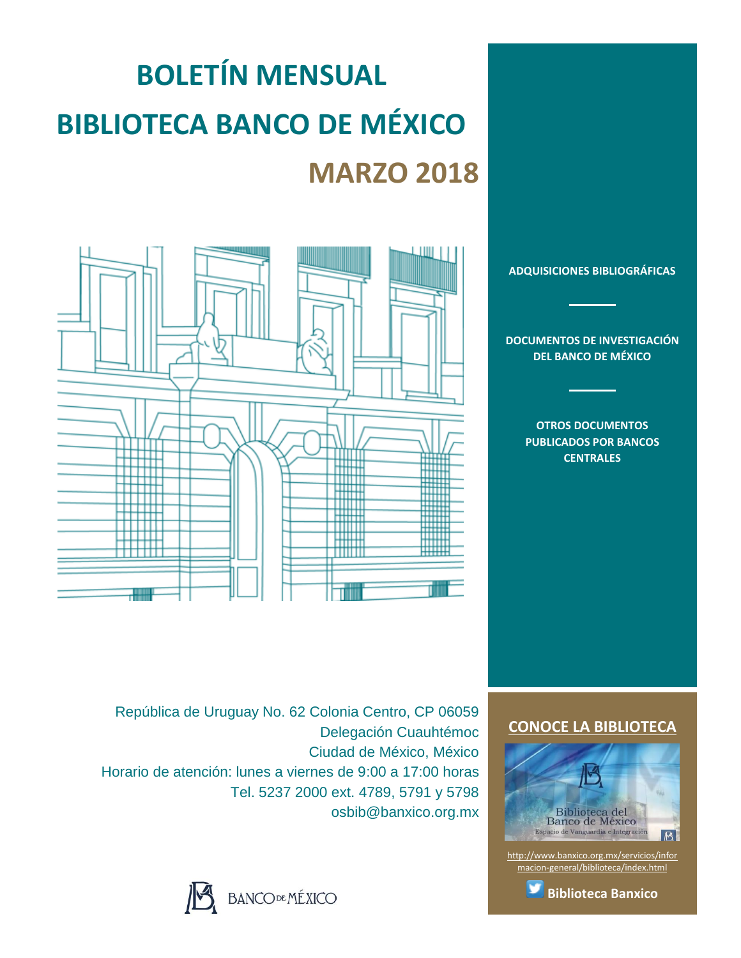## **BOLETÍN MENSUAL BIBLIOTECA BANCO DE MÉXICO MARZO 2018**



**[ADQUISICIONES BIBLIOGRÁFICAS](#page-1-0)**

**[DOCUMENTOS DE INVESTIGACIÓN](#page-2-0)  [DEL BANCO DE MÉXICO](#page-2-0)**

> **[OTROS DOCUMENTOS](#page-3-0)  [PUBLICADOS POR BANCOS](#page-3-0)  [CENTRALES](#page-3-0)**

República de Uruguay No. 62 Colonia Centro, CP 06059 Delegación Cuauhtémoc Ciudad de México, México Horario de atención: lunes a viernes de 9:00 a 17:00 horas Tel. 5237 2000 ext. 4789, 5791 y 5798 osbib@banxico.org.mx



#### **[CONOCE LA BIBLIOTECA](http://www.banxico.org.mx/servicios/informacion-general/biblioteca/index.html)**



[http://www.banxico.org.mx/servicios/infor](http://www.banxico.org.mx/servicios/informacion-general/biblioteca/index.html) [macion-general/biblioteca/index.html](http://www.banxico.org.mx/servicios/informacion-general/biblioteca/index.html)

**[Biblioteca Banxico](https://twitter.com/BiblioBanxico)**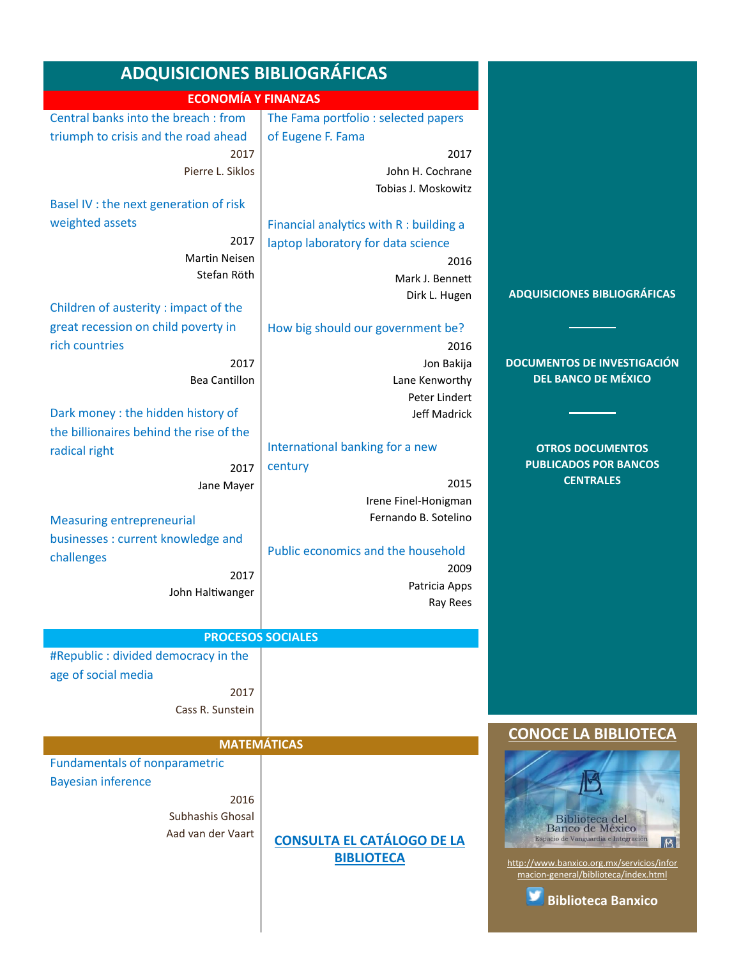<span id="page-1-0"></span>

| <b>ADQUISICIONES BIBLIOGRÁFICAS</b>     |                                         |                                     |
|-----------------------------------------|-----------------------------------------|-------------------------------------|
| <b>ECONOMÍA Y FINANZAS</b>              |                                         |                                     |
| Central banks into the breach: from     | The Fama portfolio : selected papers    |                                     |
| triumph to crisis and the road ahead    | of Eugene F. Fama                       |                                     |
| 2017                                    | 2017                                    |                                     |
| Pierre L. Siklos                        | John H. Cochrane                        |                                     |
|                                         | Tobias J. Moskowitz                     |                                     |
| Basel IV : the next generation of risk  |                                         |                                     |
| weighted assets                         | Financial analytics with R : building a |                                     |
| 2017                                    | laptop laboratory for data science      |                                     |
| <b>Martin Neisen</b><br>Stefan Röth     | 2016                                    |                                     |
|                                         | Mark J. Bennett                         | <b>ADQUISICIONES BIBLIOGRÁFICAS</b> |
| Children of austerity: impact of the    | Dirk L. Hugen                           |                                     |
| great recession on child poverty in     | How big should our government be?       |                                     |
| rich countries                          | 2016                                    |                                     |
| 2017                                    | Jon Bakija                              | <b>DOCUMENTOS DE INVESTIGACIÓN</b>  |
| <b>Bea Cantillon</b>                    | Lane Kenworthy                          | <b>DEL BANCO DE MÉXICO</b>          |
|                                         | Peter Lindert                           |                                     |
| Dark money: the hidden history of       | Jeff Madrick                            |                                     |
| the billionaires behind the rise of the |                                         |                                     |
| radical right                           | International banking for a new         | <b>OTROS DOCUMENTOS</b>             |
| 2017                                    | century                                 | <b>PUBLICADOS POR BANCOS</b>        |
| Jane Mayer                              | 2015                                    | <b>CENTRALES</b>                    |
|                                         | Irene Finel-Honigman                    |                                     |
| <b>Measuring entrepreneurial</b>        | Fernando B. Sotelino                    |                                     |
| businesses : current knowledge and      | Public economics and the household      |                                     |
| challenges                              | 2009                                    |                                     |
| 2017                                    | Patricia Apps                           |                                     |
| John Haltiwanger                        | Ray Rees                                |                                     |
|                                         |                                         |                                     |

| <b>PROCESOS SOCIALES</b>            |  |  |  |
|-------------------------------------|--|--|--|
| #Republic: divided democracy in the |  |  |  |
| age of social media                 |  |  |  |
| 2017                                |  |  |  |
| Cass R. Sunstein                    |  |  |  |

## **MATEMÁTICAS** [Fundamentals of nonparametric](#page-9-0)  [Bayesian inference](#page-9-0) 2016 Subhashis Ghosal Aad van der Vaart **CONSULTA EL CATÁLOGO DE LA [BIBLIOTECA](http://biblioteca.banxico.org.mx/)**

**[CONOCE LA BIBLIOTECA](http://www.banxico.org.mx/servicios/informacion-general/biblioteca/index.html)**



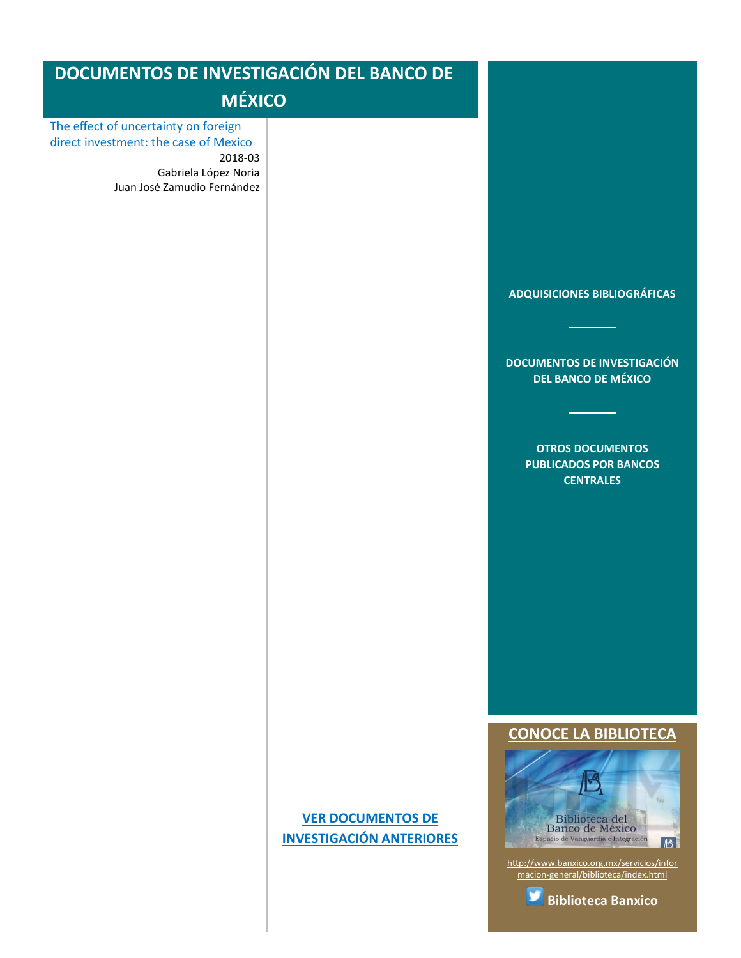<span id="page-2-0"></span>

| <b>DOCUMENTOS DE INVESTIGACIÓN DEL BANCO DE</b>                                                                                                 |                                                             |                                                                                                                                                                                                                                             |
|-------------------------------------------------------------------------------------------------------------------------------------------------|-------------------------------------------------------------|---------------------------------------------------------------------------------------------------------------------------------------------------------------------------------------------------------------------------------------------|
| <b>MÉXICO</b>                                                                                                                                   |                                                             |                                                                                                                                                                                                                                             |
| The effect of uncertainty on foreign<br>direct investment: the case of Mexico<br>2018-03<br>Gabriela López Noria<br>Juan José Zamudio Fernández |                                                             | <b>ADQUISICIONES BIBLIOGRÁFICAS</b><br><b>DOCUMENTOS DE INVESTIGACIÓN</b><br><b>DEL BANCO DE MÉXICO</b><br><b>OTROS DOCUMENTOS</b><br><b>PUBLICADOS POR BANCOS</b><br><b>CENTRALES</b>                                                      |
|                                                                                                                                                 | <b>VER DOCUMENTOS DE</b><br><b>INVESTIGACIÓN ANTERIORES</b> | <b>CONOCE LA BIBLIOTECA</b><br>Biblioteca del<br>Banco de México<br>Espacio de Vanguardia e Integración<br>$ \mathbb{B} $<br>http://www.banxico.org.mx/servicios/infor<br>macion-general/biblioteca/index.html<br><b>Biblioteca Banxico</b> |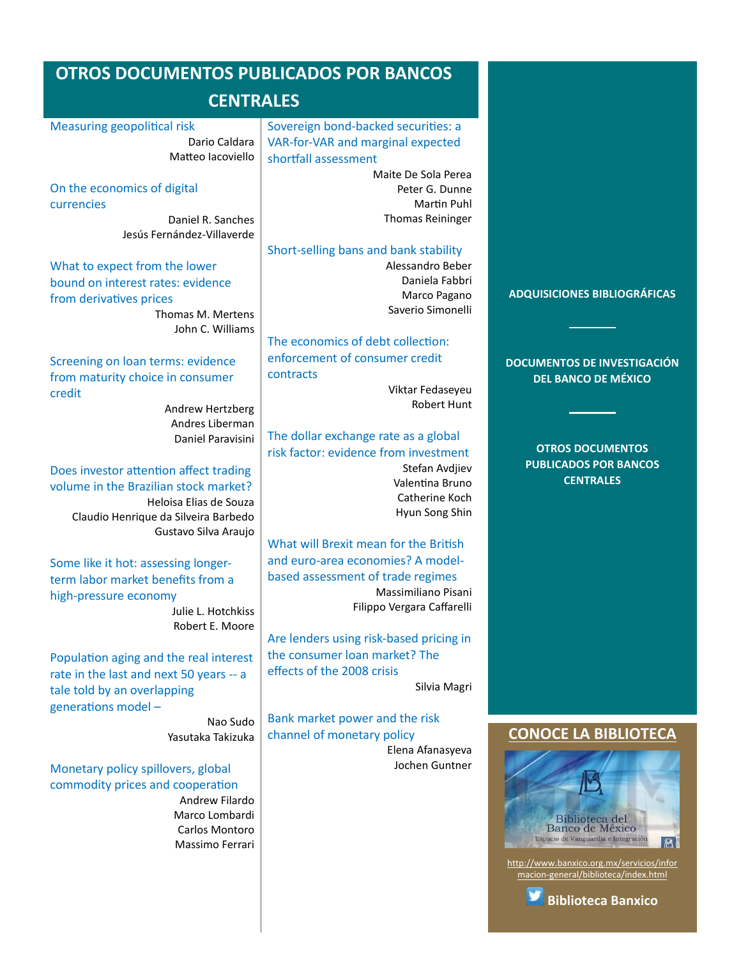## <span id="page-3-0"></span>**OTROS DOCUMENTOS PUBLICADOS POR BANCOS**

### **CENTRALES**

[Measuring geopolitical risk](#page-11-0)

Dario Caldara Matteo Iacoviello

[On the economics of digital](#page-11-0)  [currencies](#page-11-0)

> Daniel R. Sanches Jesús Fernández-Villaverde

[What to expect from the lower](#page-11-0)  [bound on interest rates: evidence](#page-11-0)  [from derivatives prices](#page-11-0)

Thomas M. Mertens John C. Williams

[Screening on loan terms: evidence](#page-11-0)  [from maturity choice in consumer](#page-11-0)  [credit](#page-11-0)

> Andrew Hertzberg Andres Liberman Daniel Paravisini

[Does investor attention affect trading](#page-11-0)  [volume in the Brazilian stock market?](#page-11-0) Heloisa Elias de Souza Claudio Henrique da Silveira Barbedo Gustavo Silva Araujo

[Some like it hot: assessing longer](#page-11-0)[term labor market benefits from a](#page-11-0)  [high-pressure economy](#page-11-0)

> Julie L. Hotchkiss Robert E. Moore

[Population aging and the real interest](#page-12-0)  [rate in the last and next 50 years --](#page-12-0) a [tale told by an overlapping](#page-12-0)  [generations model –](#page-12-0)

Nao Sudo Yasutaka Takizuka

[Monetary policy spillovers, global](#page-12-0)  [commodity prices and cooperation](#page-12-0)

> Andrew Filardo Marco Lombardi Carlos Montoro Massimo Ferrari

[Sovereign bond-backed securities: a](#page-12-0)  [VAR-for-VAR and marginal expected](#page-12-0)  [shortfall assessment](#page-12-0)

> Maite De Sola Perea Peter G. Dunne Martin Puhl Thomas Reininger

#### [Short-selling bans and bank stability](#page-12-0)

Alessandro Beber Daniela Fabbri Marco Pagano Saverio Simonelli

[The economics of debt collection:](#page-12-0)  [enforcement of consumer credit](#page-12-0)  [contracts](#page-12-0)

Viktar Fedaseyeu Robert Hunt

[The dollar exchange rate as a global](#page-12-0)  [risk factor: evidence from investment](#page-12-0)

Stefan Avdjiev Valentina Bruno Catherine Koch Hyun Song Shin

[What will Brexit mean for the British](#page-13-0)  [and euro-area economies? A model](#page-13-0)[based assessment of trade regimes](#page-13-0) Massimiliano Pisani Filippo Vergara Caffarelli

[Are lenders using risk-based pricing in](#page-13-0)  [the consumer loan market? The](#page-13-0)  [effects of the 2008 crisis](#page-13-0) Silvia Magri

[Bank market power and the risk](#page-13-0)  [channel of monetary policy](#page-13-0) Elena Afanasyeva Jochen Guntner

#### **[ADQUISICIONES BIBLIOGRÁFICAS](#page-1-0)**

**[DOCUMENTOS DE INVESTIGACIÓN](#page-2-0)  [DEL BANCO DE MÉXICO](#page-2-0)**

> **[OTROS DOCUMENTOS](#page-3-0)  [PUBLICADOS POR BANCOS](#page-3-0)  [CENTRALES](#page-3-0)**

#### **[CONOCE LA BIBLIOTECA](http://www.banxico.org.mx/servicios/informacion-general/biblioteca/index.html)**



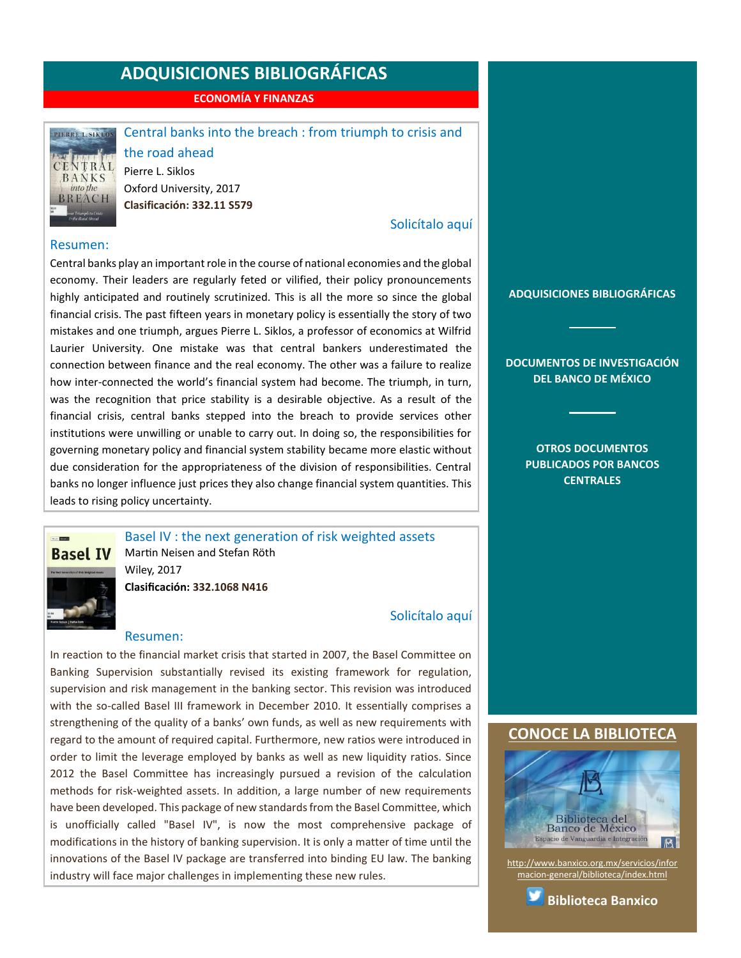**ECONOMÍA Y FINANZAS**

<span id="page-4-0"></span>

#### Central banks into the breach : from triumph to crisis and

the road ahead Pierre L. Siklos Oxford University, 2017 **Clasificación: 332.11 S579**

#### [Solicítalo aquí](mailto:osbib@banxico.org.mx?subject=+Solicito%20el%20siguiente%20material&body=Solicito%20en%20préstamo%20el%20siguiente%20título%20%22Central%20banks%20into%20the%20breach%22%20con%20clasificación%20332.11%20S579)

#### Resumen:

Central banks play an important role in the course of national economies and the global economy. Their leaders are regularly feted or vilified, their policy pronouncements highly anticipated and routinely scrutinized. This is all the more so since the global financial crisis. The past fifteen years in monetary policy is essentially the story of two mistakes and one triumph, argues Pierre L. Siklos, a professor of economics at Wilfrid Laurier University. One mistake was that central bankers underestimated the connection between finance and the real economy. The other was a failure to realize how inter-connected the world's financial system had become. The triumph, in turn, was the recognition that price stability is a desirable objective. As a result of the financial crisis, central banks stepped into the breach to provide services other institutions were unwilling or unable to carry out. In doing so, the responsibilities for governing monetary policy and financial system stability became more elastic without due consideration for the appropriateness of the division of responsibilities. Central banks no longer influence just prices they also change financial system quantities. This leads to rising policy uncertainty.

## **Basel IV**

Basel IV : the next generation of risk weighted assets Martin Neisen and Stefan Röth Wiley, 2017 **Clasificación: 332.1068 N416**

[Solicítalo aquí](mailto:osbib@banxico.org.mx?subject=+Solicito%20el%20siguiente%20material&body=Solicito%20en%20préstamo%20el%20siguiente%20título%20%22Basel%20IV%22%20con%20clasificación%20332.1068%20N416)

#### Resumen:

In reaction to the financial market crisis that started in 2007, the Basel Committee on Banking Supervision substantially revised its existing framework for regulation, supervision and risk management in the banking sector. This revision was introduced with the so-called Basel III framework in December 2010. It essentially comprises a strengthening of the quality of a banks' own funds, as well as new requirements with regard to the amount of required capital. Furthermore, new ratios were introduced in order to limit the leverage employed by banks as well as new liquidity ratios. Since 2012 the Basel Committee has increasingly pursued a revision of the calculation methods for risk-weighted assets. In addition, a large number of new requirements have been developed. This package of new standards from the Basel Committee, which is unofficially called "Basel IV", is now the most comprehensive package of modifications in the history of banking supervision. It is only a matter of time until the innovations of the Basel IV package are transferred into binding EU law. The banking industry will face major challenges in implementing these new rules.

#### **[ADQUISICIONES BIBLIOGRÁFICAS](#page-1-0)**

**[DOCUMENTOS DE INVESTIGACIÓN](#page-2-0)  [DEL BANCO DE MÉXICO](#page-2-0)**

> **[OTROS DOCUMENTOS](#page-3-0)  [PUBLICADOS POR BANCOS](#page-3-0)  [CENTRALES](#page-3-0)**

#### **[CONOCE LA BIBLIOTECA](http://www.banxico.org.mx/servicios/informacion-general/biblioteca/index.html)**



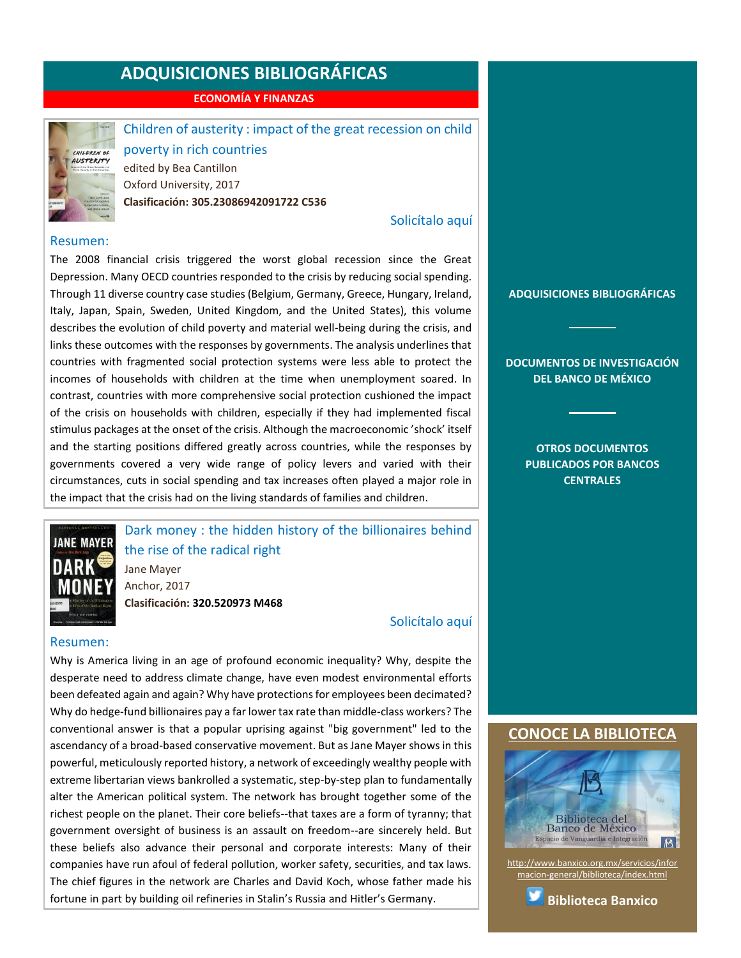**ECONOMÍA Y FINANZAS**

<span id="page-5-0"></span>

Children of austerity : impact of the great recession on child poverty in rich countries edited by Bea Cantillon Oxford University, 2017 **Clasificación: 305.23086942091722 C536**

#### [Solicítalo aquí](mailto:osbib@banxico.org.mx?subject=+Solicito%20el%20siguiente%20material&body=Solicito%20en%20préstamo%20el%20siguiente%20título%20%22Children%20of%20austerity%22%20con%20clasificación%20305.23086942091722%20C536)

#### Resumen:

The 2008 financial crisis triggered the worst global recession since the Great Depression. Many OECD countries responded to the crisis by reducing social spending. Through 11 diverse country case studies (Belgium, Germany, Greece, Hungary, Ireland, Italy, Japan, Spain, Sweden, United Kingdom, and the United States), this volume describes the evolution of child poverty and material well-being during the crisis, and links these outcomes with the responses by governments. The analysis underlines that countries with fragmented social protection systems were less able to protect the incomes of households with children at the time when unemployment soared. In contrast, countries with more comprehensive social protection cushioned the impact of the crisis on households with children, especially if they had implemented fiscal stimulus packages at the onset of the crisis. Although the macroeconomic 'shock' itself and the starting positions differed greatly across countries, while the responses by governments covered a very wide range of policy levers and varied with their circumstances, cuts in social spending and tax increases often played a major role in the impact that the crisis had on the living standards of families and children.

# **JANE MAYER**

Dark money : the hidden history of the billionaires behind the rise of the radical right Jane Mayer Anchor, 2017

[Solicítalo aquí](mailto:osbib@banxico.org.mx?subject=+Solicito%20el%20siguiente%20material&body=Solicito%20en%20préstamo%20el%20siguiente%20título%20%22Dark%20money%22%20con%20clasificación%20320.520973%20M468)

#### Resumen:

Why is America living in an age of profound economic inequality? Why, despite the desperate need to address climate change, have even modest environmental efforts been defeated again and again? Why have protections for employees been decimated? Why do hedge-fund billionaires pay a far lower tax rate than middle-class workers? The conventional answer is that a popular uprising against "big government" led to the ascendancy of a broad-based conservative movement. But as Jane Mayer shows in this powerful, meticulously reported history, a network of exceedingly wealthy people with extreme libertarian views bankrolled a systematic, step-by-step plan to fundamentally alter the American political system. The network has brought together some of the richest people on the planet. Their core beliefs--that taxes are a form of tyranny; that government oversight of business is an assault on freedom--are sincerely held. But these beliefs also advance their personal and corporate interests: Many of their companies have run afoul of federal pollution, worker safety, securities, and tax laws. The chief figures in the network are Charles and David Koch, whose father made his fortune in part by building oil refineries in Stalin's Russia and Hitler's Germany.

**Clasificación: 320.520973 M468**

**[ADQUISICIONES BIBLIOGRÁFICAS](#page-1-0)**

**[DOCUMENTOS DE INVESTIGACIÓN](#page-2-0)  [DEL BANCO DE MÉXICO](#page-2-0)**

> **[OTROS DOCUMENTOS](#page-3-0)  [PUBLICADOS POR BANCOS](#page-3-0)  [CENTRALES](#page-3-0)**

#### **[CONOCE LA BIBLIOTECA](http://www.banxico.org.mx/servicios/informacion-general/biblioteca/index.html)**



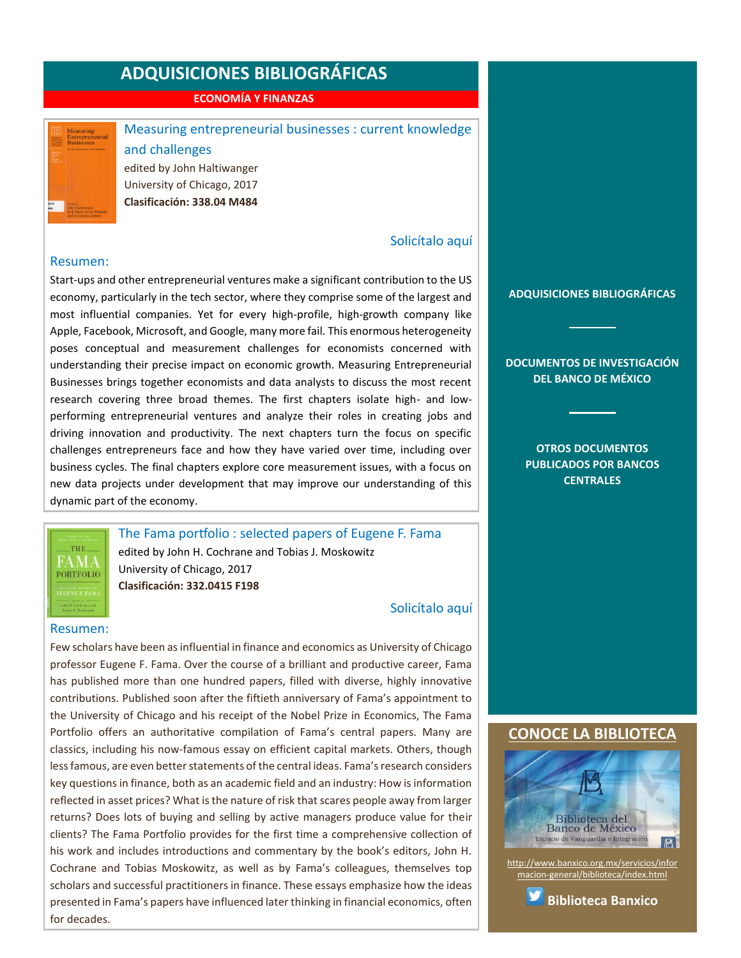**ECONOMÍA Y FINANZAS**

<span id="page-6-0"></span>

#### Measuring entrepreneurial businesses : current knowledge

and challenges edited by John Haltiwanger

University of Chicago, 2017 **Clasificación: 338.04 M484**

#### [Solicítalo aquí](mailto:osbib@banxico.org.mx?subject=+Solicito%20el%20siguiente%20material&body=Solicito%20en%20préstamo%20el%20siguiente%20título%20%22Measuring%20entrepreneurial%20businesses%22%20con%20clasificación%20338.04%20M484)

#### Resumen:

Start-ups and other entrepreneurial ventures make a significant contribution to the US economy, particularly in the tech sector, where they comprise some of the largest and most influential companies. Yet for every high-profile, high-growth company like Apple, Facebook, Microsoft, and Google, many more fail. This enormous heterogeneity poses conceptual and measurement challenges for economists concerned with understanding their precise impact on economic growth. Measuring Entrepreneurial Businesses brings together economists and data analysts to discuss the most recent research covering three broad themes. The first chapters isolate high- and lowperforming entrepreneurial ventures and analyze their roles in creating jobs and driving innovation and productivity. The next chapters turn the focus on specific challenges entrepreneurs face and how they have varied over time, including over business cycles. The final chapters explore core measurement issues, with a focus on new data projects under development that may improve our understanding of this dynamic part of the economy.



The Fama portfolio : selected papers of Eugene F. Fama edited by John H. Cochrane and Tobias J. Moskowitz University of Chicago, 2017 **Clasificación: 332.0415 F198**

#### [Solicítalo aquí](mailto:osbib@banxico.org.mx?subject=+Solicito%20el%20siguiente%20material&body=Solicito%20en%20préstamo%20el%20siguiente%20título%20%22The%20Fama%20portfolio%22%20con%20clasificación%20332.0415%20F198)

#### Resumen:

Few scholars have been as influential in finance and economics as University of Chicago professor Eugene F. Fama. Over the course of a brilliant and productive career, Fama has published more than one hundred papers, filled with diverse, highly innovative contributions. Published soon after the fiftieth anniversary of Fama's appointment to the University of Chicago and his receipt of the Nobel Prize in Economics, The Fama Portfolio offers an authoritative compilation of Fama's central papers. Many are classics, including his now-famous essay on efficient capital markets. Others, though less famous, are even better statements of the central ideas. Fama's research considers key questions in finance, both as an academic field and an industry: How is information reflected in asset prices? What is the nature of risk that scares people away from larger returns? Does lots of buying and selling by active managers produce value for their clients? The Fama Portfolio provides for the first time a comprehensive collection of his work and includes introductions and commentary by the book's editors, John H. Cochrane and Tobias Moskowitz, as well as by Fama's colleagues, themselves top scholars and successful practitioners in finance. These essays emphasize how the ideas presented in Fama's papers have influenced later thinking in financial economics, often for decades.

**[ADQUISICIONES BIBLIOGRÁFICAS](#page-1-0)**

**[DOCUMENTOS DE INVESTIGACIÓN](#page-2-0)  [DEL BANCO DE MÉXICO](#page-2-0)**

> **[OTROS DOCUMENTOS](#page-3-0)  [PUBLICADOS POR BANCOS](#page-3-0)  [CENTRALES](#page-3-0)**

#### **[CONOCE LA BIBLIOTECA](http://www.banxico.org.mx/servicios/informacion-general/biblioteca/index.html)**



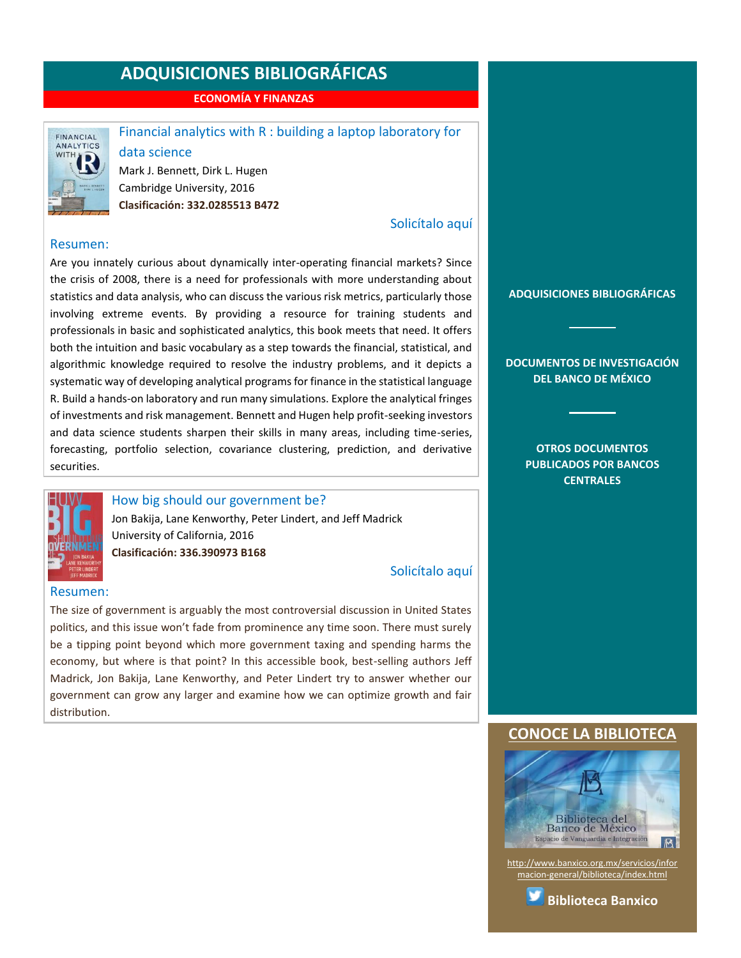**ECONOMÍA Y FINANZAS**

<span id="page-7-0"></span>

#### Financial analytics with R : building a laptop laboratory for

data science Mark J. Bennett, Dirk L. Hugen Cambridge University, 2016 **Clasificación: 332.0285513 B472**

#### [Solicítalo aquí](mailto:osbib@banxico.org.mx?subject=+Solicito%20el%20siguiente%20material&body=Solicito%20en%20préstamo%20el%20siguiente%20título%20%22Financial%20analytics%20with%20R%22%20con%20clasificación%20332.0285513%20B472)

#### Resumen:

Are you innately curious about dynamically inter-operating financial markets? Since the crisis of 2008, there is a need for professionals with more understanding about statistics and data analysis, who can discuss the various risk metrics, particularly those involving extreme events. By providing a resource for training students and professionals in basic and sophisticated analytics, this book meets that need. It offers both the intuition and basic vocabulary as a step towards the financial, statistical, and algorithmic knowledge required to resolve the industry problems, and it depicts a systematic way of developing analytical programs for finance in the statistical language R. Build a hands-on laboratory and run many simulations. Explore the analytical fringes of investments and risk management. Bennett and Hugen help profit-seeking investors and data science students sharpen their skills in many areas, including time-series, forecasting, portfolio selection, covariance clustering, prediction, and derivative securities.



#### How big should our government be?

Jon Bakija, Lane Kenworthy, Peter Lindert, and Jeff Madrick University of California, 2016 **Clasificación: 336.390973 B168**

#### [Solicítalo aquí](mailto:osbib@banxico.org.mx?subject=+Solicito%20el%20siguiente%20material&body=Solicito%20en%20préstamo%20el%20siguiente%20título%20%22How%20big%20should%20our%20government%20be%22%20con%20clasificación%20336.390973%20B168)

#### Resumen:

The size of government is arguably the most controversial discussion in United States politics, and this issue won't fade from prominence any time soon. There must surely be a tipping point beyond which more government taxing and spending harms the economy, but where is that point? In this accessible book, best-selling authors Jeff Madrick, Jon Bakija, Lane Kenworthy, and Peter Lindert try to answer whether our government can grow any larger and examine how we can optimize growth and fair distribution.

**[ADQUISICIONES BIBLIOGRÁFICAS](#page-1-0)**

**[DOCUMENTOS DE INVESTIGACIÓN](#page-2-0)  [DEL BANCO DE MÉXICO](#page-2-0)**

> **[OTROS DOCUMENTOS](#page-3-0)  [PUBLICADOS POR BANCOS](#page-3-0)  [CENTRALES](#page-3-0)**

#### **CONOCE LA BIBLIOTEC**



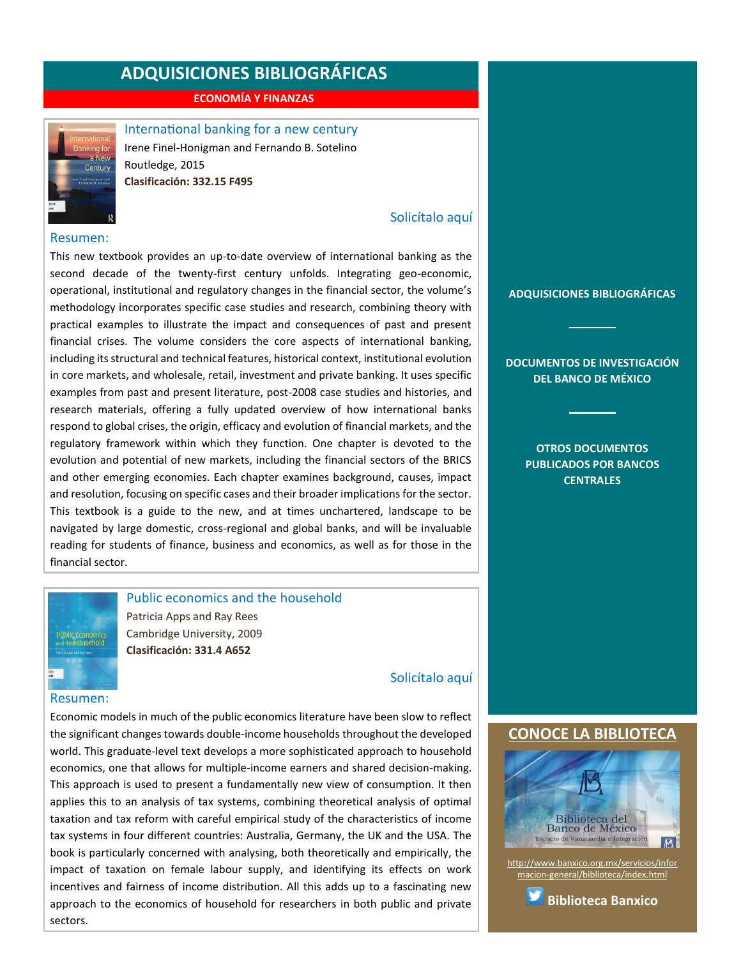**ECONOMÍA Y FINANZAS**

<span id="page-8-0"></span>

International banking for a new century

Irene Finel-Honigman and Fernando B. Sotelino Routledge, 2015 **Clasificación: 332.15 F495**

#### [Solicítalo aquí](mailto:osbib@banxico.org.mx?subject=+Solicito%20el%20siguiente%20material&body=Solicito%20en%20préstamo%20el%20siguiente%20título%20%22International%20banking%20for%20a%20new%20century%22%20con%20clasificación%20332.15%20F495)

[Solicítalo aquí](mailto:osbib@banxico.org.mx?subject=+Solicito%20el%20siguiente%20material&body=Solicito%20en%20préstamo%20el%20siguiente%20título%20%22Public%20economics%20and%20the%20household%22%20con%20clasificación%20331.4%20A652)

#### Resumen:

This new textbook provides an up-to-date overview of international banking as the second decade of the twenty-first century unfolds. Integrating geo-economic, operational, institutional and regulatory changes in the financial sector, the volume's methodology incorporates specific case studies and research, combining theory with practical examples to illustrate the impact and consequences of past and present financial crises. The volume considers the core aspects of international banking, including its structural and technical features, historical context, institutional evolution in core markets, and wholesale, retail, investment and private banking. It uses specific examples from past and present literature, post-2008 case studies and histories, and research materials, offering a fully updated overview of how international banks respond to global crises, the origin, efficacy and evolution of financial markets, and the regulatory framework within which they function. One chapter is devoted to the evolution and potential of new markets, including the financial sectors of the BRICS and other emerging economies. Each chapter examines background, causes, impact and resolution, focusing on specific cases and their broader implications for the sector. This textbook is a guide to the new, and at times unchartered, landscape to be navigated by large domestic, cross-regional and global banks, and will be invaluable reading for students of finance, business and economics, as well as for those in the financial sector.

Public Economic<br>and the Household

Public economics and the household Patricia Apps and Ray Rees Cambridge University, 2009 **Clasificación: 331.4 A652**

#### Resumen:

Economic models in much of the public economics literature have been slow to reflect the significant changes towards double-income households throughout the developed world. This graduate-level text develops a more sophisticated approach to household economics, one that allows for multiple-income earners and shared decision-making. This approach is used to present a fundamentally new view of consumption. It then applies this to an analysis of tax systems, combining theoretical analysis of optimal taxation and tax reform with careful empirical study of the characteristics of income tax systems in four different countries: Australia, Germany, the UK and the USA. The book is particularly concerned with analysing, both theoretically and empirically, the impact of taxation on female labour supply, and identifying its effects on work incentives and fairness of income distribution. All this adds up to a fascinating new approach to the economics of household for researchers in both public and private sectors.

**[ADQUISICIONES BIBLIOGRÁFICAS](#page-1-0)**

#### **[DOCUMENTOS DE INVESTIGACIÓN](#page-2-0)  [DEL BANCO DE MÉXICO](#page-2-0)**

**[OTROS DOCUMENTOS](#page-3-0)  [PUBLICADOS POR BANCOS](#page-3-0)  [CENTRALES](#page-3-0)**

#### **[CONOCE LA BIBLIOTECA](http://www.banxico.org.mx/servicios/informacion-general/biblioteca/index.html)**



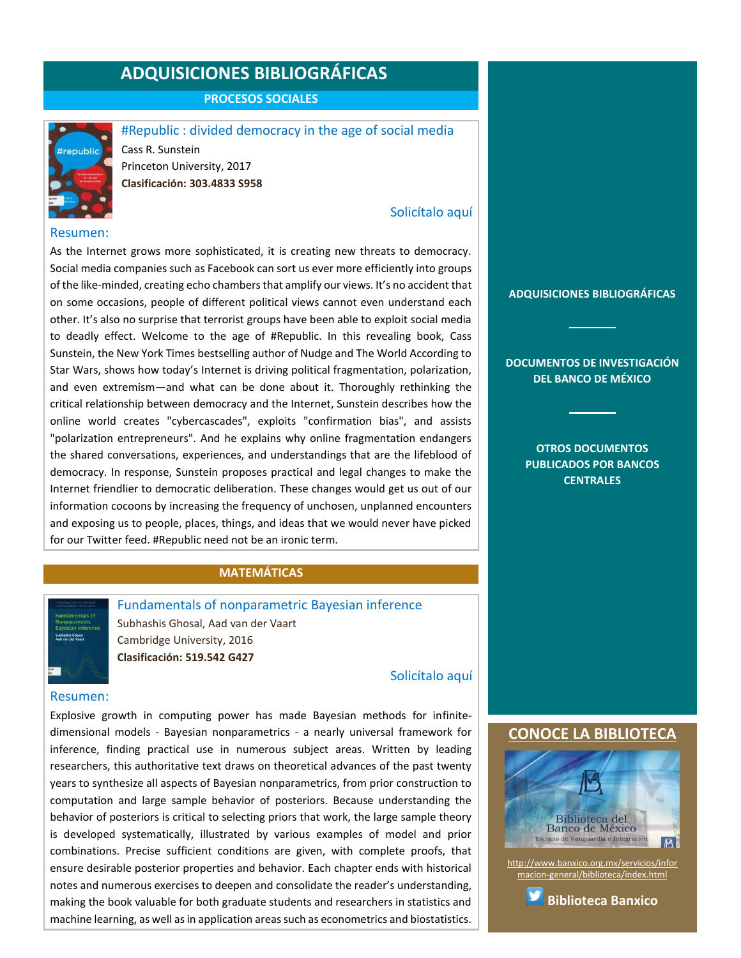**PROCESOS SOCIALES**

<span id="page-9-0"></span>

#Republic : divided democracy in the age of social media

Cass R. Sunstein Princeton University, 2017 **Clasificación: 303.4833 S958**

#### [Solicítalo aquí](mailto:osbib@banxico.org.mx?subject=+Solicito%20el%20siguiente%20material&body=Solicito%20en%20préstamo%20el%20siguiente%20título%20%22%23Republic%22%20con%20clasificación%20303.4833%20S958)

#### Resumen:

As the Internet grows more sophisticated, it is creating new threats to democracy. Social media companies such as Facebook can sort us ever more efficiently into groups of the like-minded, creating echo chambers that amplify our views. It's no accident that on some occasions, people of different political views cannot even understand each other. It's also no surprise that terrorist groups have been able to exploit social media to deadly effect. Welcome to the age of #Republic. In this revealing book, Cass Sunstein, the New York Times bestselling author of Nudge and The World According to Star Wars, shows how today's Internet is driving political fragmentation, polarization, and even extremism—and what can be done about it. Thoroughly rethinking the critical relationship between democracy and the Internet, Sunstein describes how the online world creates "cybercascades", exploits "confirmation bias", and assists "polarization entrepreneurs". And he explains why online fragmentation endangers the shared conversations, experiences, and understandings that are the lifeblood of democracy. In response, Sunstein proposes practical and legal changes to make the Internet friendlier to democratic deliberation. These changes would get us out of our information cocoons by increasing the frequency of unchosen, unplanned encounters and exposing us to people, places, things, and ideas that we would never have picked for our Twitter feed. #Republic need not be an ironic term.

#### **MATEMÁTICAS**

Fundamentals of nonparametric Bayesian inference Subhashis Ghosal, Aad van der Vaart Cambridge University, 2016 **Clasificación: 519.542 G427**

[Solicítalo aquí](mailto:osbib@banxico.org.mx?subject=+Solicito%20el%20siguiente%20material&body=Solicito%20en%20préstamo%20el%20siguiente%20título%20%22Fundamentals%20of%20nonparametric%20Bayesian%20inference%22%20con%20clasificación%20519.542%20G427)

#### Resumen:

Explosive growth in computing power has made Bayesian methods for infinitedimensional models - Bayesian nonparametrics - a nearly universal framework for inference, finding practical use in numerous subject areas. Written by leading researchers, this authoritative text draws on theoretical advances of the past twenty years to synthesize all aspects of Bayesian nonparametrics, from prior construction to computation and large sample behavior of posteriors. Because understanding the behavior of posteriors is critical to selecting priors that work, the large sample theory is developed systematically, illustrated by various examples of model and prior combinations. Precise sufficient conditions are given, with complete proofs, that ensure desirable posterior properties and behavior. Each chapter ends with historical notes and numerous exercises to deepen and consolidate the reader's understanding, making the book valuable for both graduate students and researchers in statistics and machine learning, as well as in application areas such as econometrics and biostatistics. **[ADQUISICIONES BIBLIOGRÁFICAS](#page-1-0)**

#### **[DOCUMENTOS DE INVESTIGACIÓN](#page-2-0)  [DEL BANCO DE MÉXICO](#page-2-0)**

**[OTROS DOCUMENTOS](#page-3-0)  [PUBLICADOS POR BANCOS](#page-3-0)  [CENTRALES](#page-3-0)**

#### **[CONOCE LA BIBLIOTECA](http://www.banxico.org.mx/servicios/informacion-general/biblioteca/index.html)**



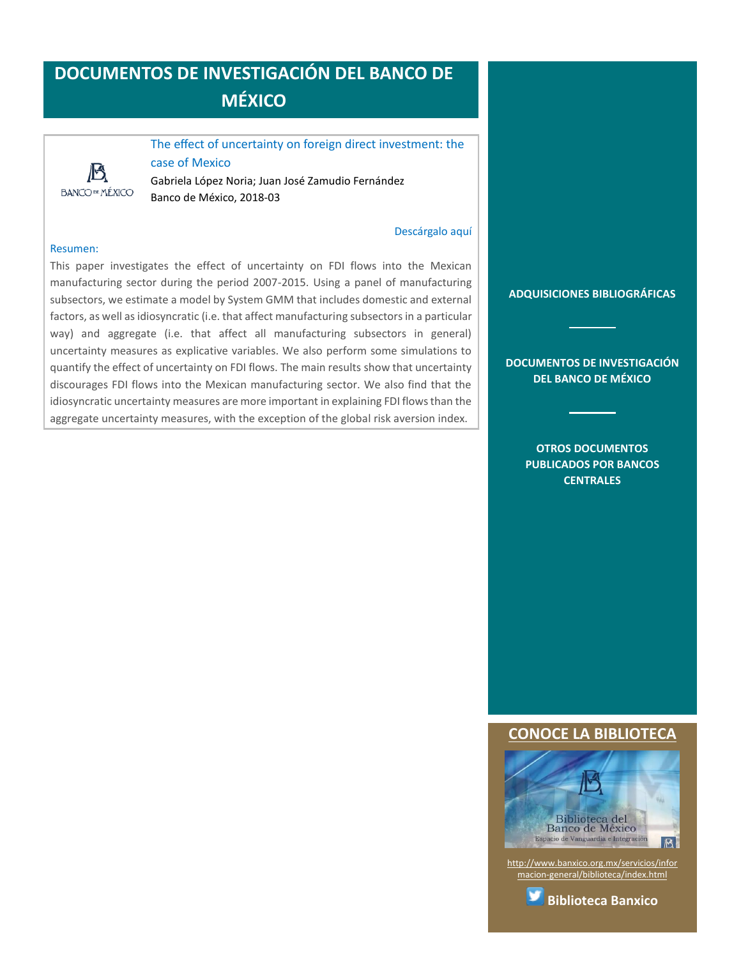## <span id="page-10-0"></span>**DOCUMENTOS DE INVESTIGACIÓN DEL BANCO DE MÉXICO**



The effect of uncertainty on foreign direct investment: the case of Mexico

Gabriela López Noria; Juan José Zamudio Fernández Banco de México, 2018-03

#### [Descárgalo aquí](http://www.banxico.org.mx/publicaciones-y-discursos/publicaciones/documentos-de-investigacion/banxico/%7BE578CA07-17F0-899C-F208-99C3C2F8A418%7D.pdf)

#### Resumen:

This paper investigates the effect of uncertainty on FDI flows into the Mexican manufacturing sector during the period 2007-2015. Using a panel of manufacturing subsectors, we estimate a model by System GMM that includes domestic and external factors, as well as idiosyncratic (i.e. that affect manufacturing subsectors in a particular way) and aggregate (i.e. that affect all manufacturing subsectors in general) uncertainty measures as explicative variables. We also perform some simulations to quantify the effect of uncertainty on FDI flows. The main results show that uncertainty discourages FDI flows into the Mexican manufacturing sector. We also find that the idiosyncratic uncertainty measures are more important in explaining FDI flows than the aggregate uncertainty measures, with the exception of the global risk aversion index.

**[ADQUISICIONES BIBLIOGRÁFICAS](#page-1-0)**

**[DOCUMENTOS DE INVESTIGACIÓN](#page-2-0)  [DEL BANCO DE MÉXICO](#page-2-0)**

> **[OTROS DOCUMENTOS](#page-3-0)  [PUBLICADOS POR BANCOS](#page-3-0)  [CENTRALES](#page-3-0)**

#### **[CONOCE LA BIBLIOTECA](http://www.banxico.org.mx/servicios/informacion-general/biblioteca/index.html)**



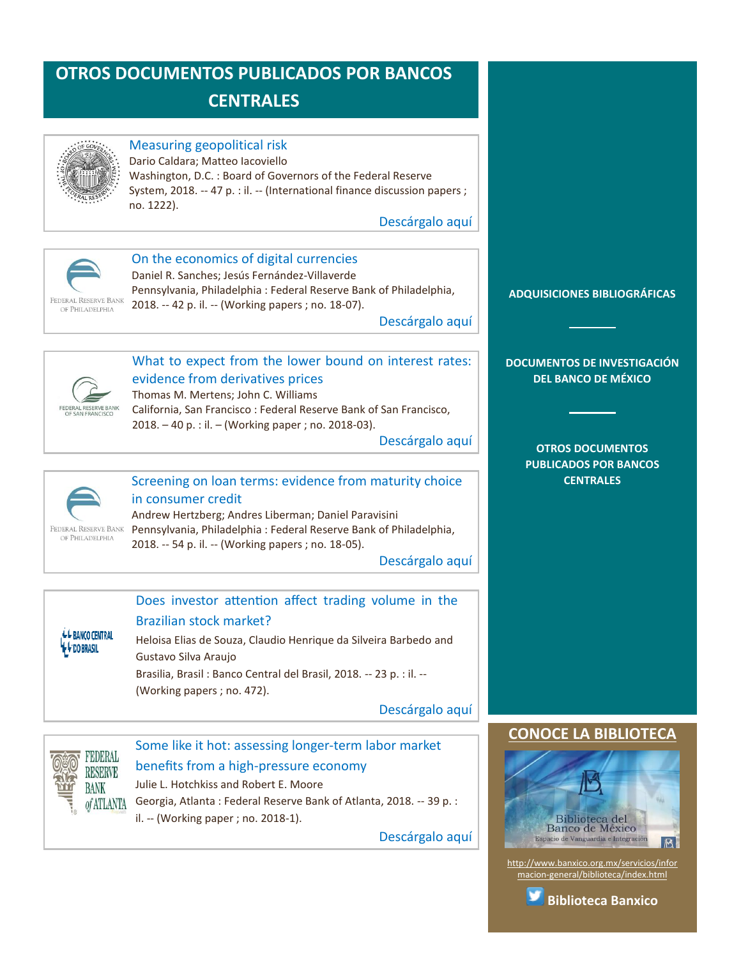## <span id="page-11-0"></span>**OTROS DOCUMENTOS PUBLICADOS POR BANCOS CENTRALES**



#### Measuring geopolitical risk

Dario Caldara; Matteo Iacoviello

Washington, D.C. : Board of Governors of the Federal Reserve System, 2018. -- 47 p. : il. -- (International finance discussion papers ; no. 1222).

[Descárgalo aquí](https://www.federalreserve.gov/econres/ifdp/files/ifdp1222.pdf)



## On the economics of digital currencies

Daniel R. Sanches; Jesús Fernández-Villaverde Pennsylvania, Philadelphia : Federal Reserve Bank of Philadelphia, 2018. -- 42 p. il. -- (Working papers ; no. 18-07).

[Descárgalo aquí](https://www.philadelphiafed.org/-/media/research-and-data/publications/working-papers/2018/wp18-07.pdf)



#### What to expect from the lower bound on interest rates: evidence from derivatives prices Thomas M. Mertens; John C. Williams

California, San Francisco : Federal Reserve Bank of San Francisco, 2018. – 40 p. : il. – (Working paper ; no. 2018-03).

[Descárgalo aquí](https://www.frbsf.org/economic-research/files/wp2018-03.pdf)



## Screening on loan terms: evidence from maturity choice in consumer credit

Andrew Hertzberg; Andres Liberman; Daniel Paravisini Pennsylvania, Philadelphia : Federal Reserve Bank of Philadelphia, 2018. -- 54 p. il. -- (Working papers ; no. 18-05).

[Descárgalo aquí](https://www.philadelphiafed.org/-/media/research-and-data/publications/working-papers/2018/wp18-05.pdf)

## Does investor attention affect trading volume in the Brazilian stock market?

Heloisa Elias de Souza, Claudio Henrique da Silveira Barbedo and Gustavo Silva Araujo Brasilia, Brasil : Banco Central del Brasil, 2018. -- 23 p. : il. --

(Working papers ; no. 472).

[Descárgalo aquí](http://www.bcb.gov.br/pec/wps/ingl/wps472.pdf)



LL BANCO CENTRAL **W** COBRASIL

> Some like it hot: assessing longer-term labor market benefits from a high-pressure economy

Julie L. Hotchkiss and Robert E. Moore Georgia, Atlanta : Federal Reserve Bank of Atlanta, 2018. -- 39 p. :

il. -- (Working paper ; no. 2018-1).

[Descárgalo aquí](https://www.frbatlanta.org/-/media/documents/research/publications/wp/2018/01-assessing-longer-term-labor-market-benefits-from-a-high-pressure-economy-2018-01-30.pdf)

#### **[ADQUISICIONES BIBLIOGRÁFICAS](#page-1-0)**

**[DOCUMENTOS DE INVESTIGACIÓN](#page-2-0)  [DEL BANCO DE MÉXICO](#page-2-0)**

**[OTROS DOCUMENTOS](#page-3-0)  [PUBLICADOS POR BANCOS](#page-3-0)  [CENTRALES](#page-3-0)**

#### **CONOCE LA BIBLIOTEC**



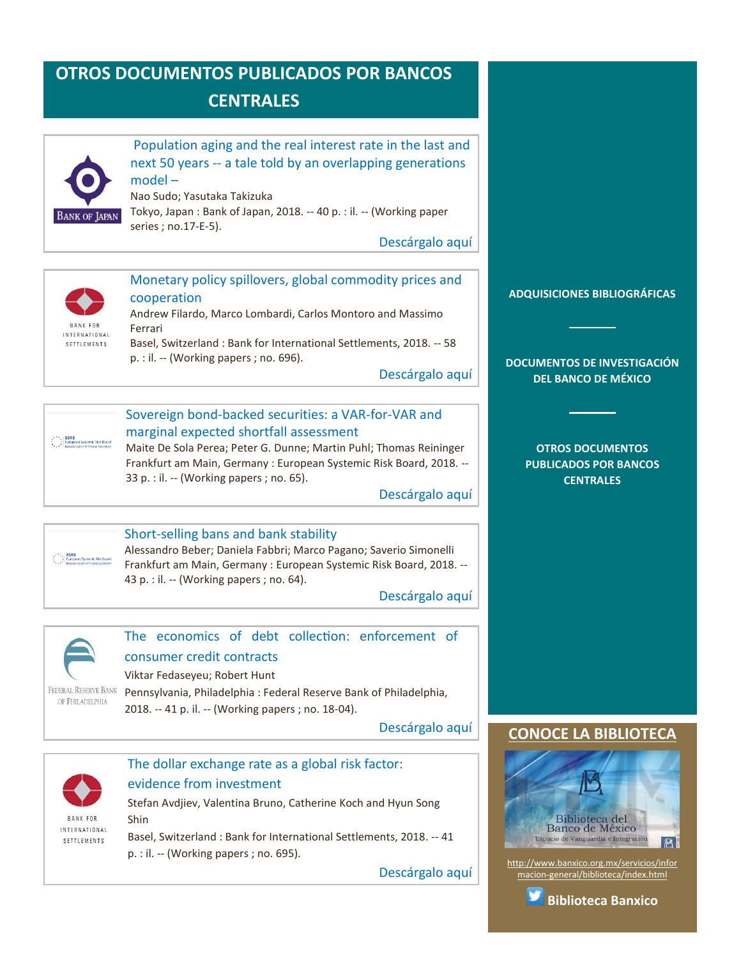## <span id="page-12-0"></span>**OTROS DOCUMENTOS PUBLICADOS POR BANCOS CENTRALES**



#### Population aging and the real interest rate in the last and next 50 years -- a tale told by an overlapping generations model – Nao Sudo; Yasutaka Takizuka

Tokyo, Japan : Bank of Japan, 2018. -- 40 p. : il. -- (Working paper series ; no.17-E-5).

[Descárgalo aquí](http://www.boj.or.jp/en/research/wps_rev/wps_2018/data/wp18e01.pdf)



## Monetary policy spillovers, global commodity prices and cooperation

Andrew Filardo, Marco Lombardi, Carlos Montoro and Massimo Ferrari

Basel, Switzerland : Bank for International Settlements, 2018. -- 58 p. : il. -- (Working papers ; no. 696).

[Descárgalo aquí](https://www.bis.org/publ/work696.pdf)



#### Sovereign bond-backed securities: a VAR-for-VAR and marginal expected shortfall assessment

Maite De Sola Perea; Peter G. Dunne; Martin Puhl; Thomas Reininger Frankfurt am Main, Germany : European Systemic Risk Board, 2018. -- 33 p. : il. -- (Working papers ; no. 65).

[Descárgalo aquí](https://www.esrb.europa.eu/pub/pdf/wp/esrb.wp65.en.pdf)



#### Short-selling bans and bank stability

Alessandro Beber; Daniela Fabbri; Marco Pagano; Saverio Simonelli Frankfurt am Main, Germany : European Systemic Risk Board, 2018. -- 43 p. : il. -- (Working papers ; no. 64).

[Descárgalo aquí](https://www.esrb.europa.eu/pub/pdf/wp/esrb.wp64.en.pdf)



## The economics of debt collection: enforcement of consumer credit contracts

FEDERAL RESERVE BANK OF PHILADELPHIA

Viktar Fedaseyeu; Robert Hunt Pennsylvania, Philadelphia : Federal Reserve Bank of Philadelphia, 2018. -- 41 p. il. -- (Working papers ; no. 18-04).

[Descárgalo aquí](https://www.philadelphiafed.org/-/media/research-and-data/publications/working-papers/2018/wp18-04.pdf)



#### The dollar exchange rate as a global risk factor: evidence from investment

BANK FOR INTERNATIONAL SETTLEMENTS

Stefan Avdjiev, Valentina Bruno, Catherine Koch and Hyun Song Shin

Basel, Switzerland : Bank for International Settlements, 2018. -- 41 p. : il. -- (Working papers ; no. 695).

[Descárgalo aquí](https://www.bis.org/publ/work695.pdf)

#### **[ADQUISICIONES BIBLIOGRÁFICAS](#page-1-0)**

**[DOCUMENTOS DE INVESTIGACIÓN](#page-2-0)  [DEL BANCO DE MÉXICO](#page-2-0)**

#### **[OTROS DOCUMENTOS](#page-3-0)  [PUBLICADOS POR BANCOS](#page-3-0)  [CENTRALES](#page-3-0)**

#### **CONOCE LA BIBLIOTEC**